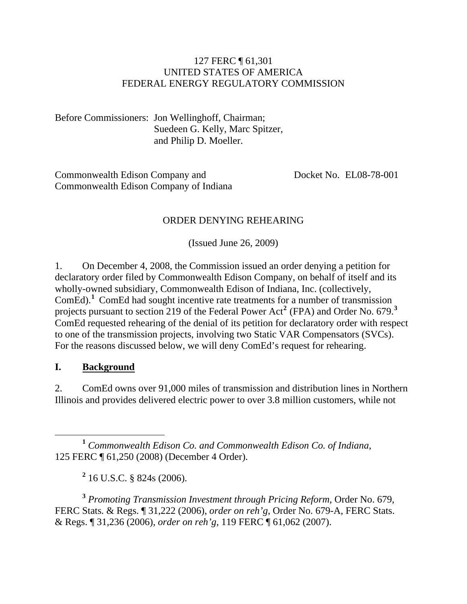### 127 FERC ¶ 61,301 UNITED STATES OF AMERICA FEDERAL ENERGY REGULATORY COMMISSION

Before Commissioners: Jon Wellinghoff, Chairman; Suedeen G. Kelly, Marc Spitzer, and Philip D. Moeller.

Commonwealth Edison Company and Commonwealth Edison Company of Indiana Docket No. EL08-78-001

## ORDER DENYING REHEARING

(Issued June 26, 2009)

1. On December 4, 2008, the Commission issued an order denying a petition for declaratory order filed by Commonwealth Edison Company, on behalf of itself and its wholly-owned subsidiary, Commonwealth Edison of Indiana, Inc. (collectively, ComEd).**[1](#page-0-0)** ComEd had sought incentive rate treatments for a number of transmission projects pursuant to section [2](#page-0-1)19 of the Federal Power Act<sup>2</sup> (FPA) and Order No. 679.<sup>[3](#page-0-2)</sup> ComEd requested rehearing of the denial of its petition for declaratory order with respect to one of the transmission projects, involving two Static VAR Compensators (SVCs). For the reasons discussed below, we will deny ComEd's request for rehearing.

### **I. Background**

2. ComEd owns over 91,000 miles of transmission and distribution lines in Northern Illinois and provides delivered electric power to over 3.8 million customers, while not

<span id="page-0-0"></span> **<sup>1</sup>** *Commonwealth Edison Co. and Commonwealth Edison Co. of Indiana*, 125 FERC ¶ 61,250 (2008) (December 4 Order).

**2** 16 U.S.C. § 824s (2006).

<span id="page-0-2"></span><span id="page-0-1"></span>**<sup>3</sup>** *Promoting Transmission Investment through Pricing Reform*, Order No. 679, FERC Stats. & Regs. ¶ 31,222 (2006), *order on reh'g*, Order No. 679-A, FERC Stats. & Regs. ¶ 31,236 (2006), *order on reh'g*, 119 FERC ¶ 61,062 (2007).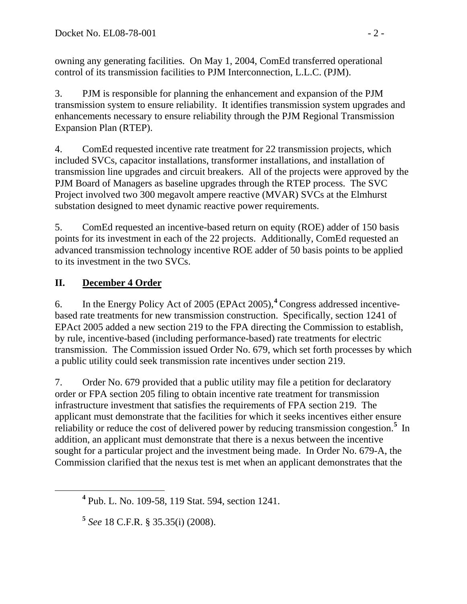owning any generating facilities. On May 1, 2004, ComEd transferred operational control of its transmission facilities to PJM Interconnection, L.L.C. (PJM).

3. PJM is responsible for planning the enhancement and expansion of the PJM transmission system to ensure reliability. It identifies transmission system upgrades and enhancements necessary to ensure reliability through the PJM Regional Transmission Expansion Plan (RTEP).

4. ComEd requested incentive rate treatment for 22 transmission projects, which included SVCs, capacitor installations, transformer installations, and installation of transmission line upgrades and circuit breakers. All of the projects were approved by the PJM Board of Managers as baseline upgrades through the RTEP process. The SVC Project involved two 300 megavolt ampere reactive (MVAR) SVCs at the Elmhurst substation designed to meet dynamic reactive power requirements.

5. ComEd requested an incentive-based return on equity (ROE) adder of 150 basis points for its investment in each of the 22 projects. Additionally, ComEd requested an advanced transmission technology incentive ROE adder of 50 basis points to be applied to its investment in the two SVCs.

# **II. December 4 Order**

6. In the Energy Policy Act of 2005 (EPAct 2005),**[4](#page-1-0)** Congress addressed incentivebased rate treatments for new transmission construction. Specifically, section 1241 of EPAct 2005 added a new section 219 to the FPA directing the Commission to establish, by rule, incentive-based (including performance-based) rate treatments for electric transmission. The Commission issued Order No. 679, which set forth processes by which a public utility could seek transmission rate incentives under section 219.

7. Order No. 679 provided that a public utility may file a petition for declaratory order or FPA section 205 filing to obtain incentive rate treatment for transmission infrastructure investment that satisfies the requirements of FPA section 219. The applicant must demonstrate that the facilities for which it seeks incentives either ensure reliability or reduce the cost of delivered power by reducing transmission congestion.**[5](#page-1-1)** In addition, an applicant must demonstrate that there is a nexus between the incentive sought for a particular project and the investment being made. In Order No. 679-A, the Commission clarified that the nexus test is met when an applicant demonstrates that the

<span id="page-1-1"></span><span id="page-1-0"></span>**<sup>4</sup>** Pub. L. No. 109-58, 119 Stat. 594, section 1241.

**<sup>5</sup>** *See* 18 C.F.R. § 35.35(i) (2008).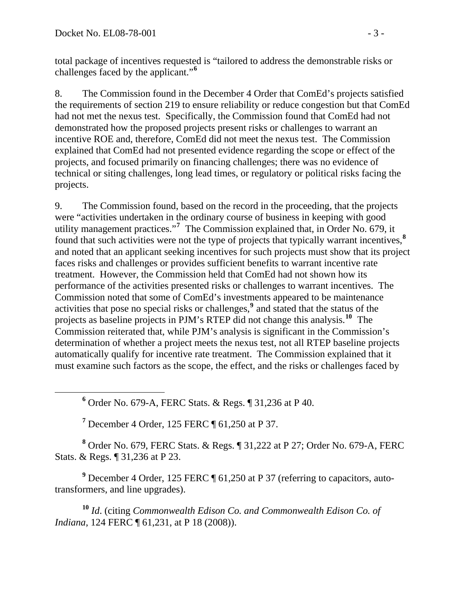total package of incentives requested is "tailored to address the demonstrable risks or challenges faced by the applicant."**<sup>6</sup>**

8. The Commission found in the December 4 Order that ComEd's projects satisfied the requirements of section 219 to ensure reliability or reduce congestion but that ComEd had not met the nexus test. Specifically, the Commission found that ComEd had not demonstrated how the proposed projects present risks or challenges to warrant an incentive ROE and, therefore, ComEd did not meet the nexus test. The Commission explained that ComEd had not presented evidence regarding the scope or effect of the projects, and focused primarily on financing challenges; there was no evidence of technical or siting challenges, long lead times, or regulatory or political risks facing the projects.

9. The Commission found, based on the record in the proceeding, that the projects were "activities undertaken in the ordinary course of business in keeping with good utility management practices."**[7](#page-2-0)** The Commission explained that, in Order No. 679, it found that such activities were not the type of projects that typically warrant incentives,**[8](#page-2-1)** and noted that an applicant seeking incentives for such projects must show that its project faces risks and challenges or provides sufficient benefits to warrant incentive rate treatment. However, the Commission held that ComEd had not shown how its performance of the activities presented risks or challenges to warrant incentives. The Commission noted that some of ComEd's investments appeared to be maintenance activities that pose no special risks or challenges,**[9](#page-2-2)** and stated that the status of the projects as baseline projects in PJM's RTEP did not change this analysis.**[10](#page-2-3)** The Commission reiterated that, while PJM's analysis is significant in the Commission's determination of whether a project meets the nexus test, not all RTEP baseline projects automatically qualify for incentive rate treatment. The Commission explained that it must examine such factors as the scope, the effect, and the risks or challenges faced by

 **<sup>6</sup>** Order No. 679-A, FERC Stats. & Regs. ¶ 31,236 at P 40.

**7** December 4 Order, 125 FERC ¶ 61,250 at P 37.

<span id="page-2-1"></span><span id="page-2-0"></span>**8** Order No. 679, FERC Stats. & Regs. ¶ 31,222 at P 27; Order No. 679-A, FERC Stats. & Regs. ¶ 31,236 at P 23.

<span id="page-2-2"></span><sup>9</sup> December 4 Order, 125 FERC ¶ 61,250 at P 37 (referring to capacitors, autotransformers, and line upgrades).

<span id="page-2-3"></span>**<sup>10</sup>** *Id*. (citing *Commonwealth Edison Co. and Commonwealth Edison Co. of Indiana*, 124 FERC  $\sqrt{ }$  61, 231, at P 18 (2008)).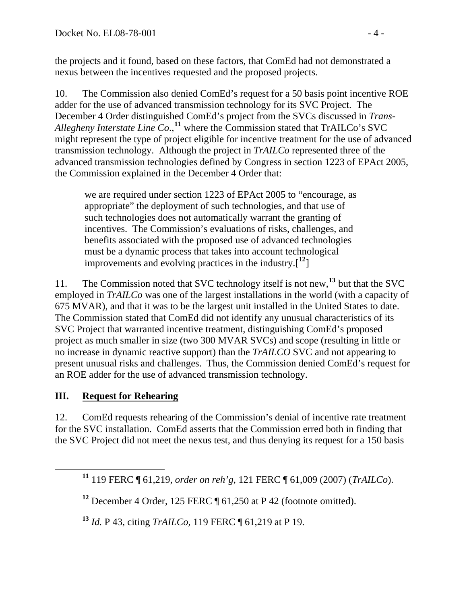the projects and it found, based on these factors, that ComEd had not demonstrated a nexus between the incentives requested and the proposed projects.

10. The Commission also denied ComEd's request for a 50 basis point incentive ROE adder for the use of advanced transmission technology for its SVC Project. The December 4 Order distinguished ComEd's project from the SVCs discussed in *Trans-Allegheny Interstate Line Co*.,**[11](#page-3-0)** where the Commission stated that TrAILCo's SVC might represent the type of project eligible for incentive treatment for the use of advanced transmission technology. Although the project in *TrAILCo* represented three of the advanced transmission technologies defined by Congress in section 1223 of EPAct 2005, the Commission explained in the December 4 Order that:

we are required under section 1223 of EPAct 2005 to "encourage, as appropriate" the deployment of such technologies, and that use of such technologies does not automatically warrant the granting of incentives. The Commission's evaluations of risks, challenges, and benefits associated with the proposed use of advanced technologies must be a dynamic process that takes into account technological improvements and evolving practices in the industry.[**[12](#page-3-1)**]

11. The Commission noted that SVC technology itself is not new,**[13](#page-3-2)** but that the SVC employed in *TrAILCo* was one of the largest installations in the world (with a capacity of 675 MVAR), and that it was to be the largest unit installed in the United States to date. The Commission stated that ComEd did not identify any unusual characteristics of its SVC Project that warranted incentive treatment, distinguishing ComEd's proposed project as much smaller in size (two 300 MVAR SVCs) and scope (resulting in little or no increase in dynamic reactive support) than the *TrAILCO* SVC and not appearing to present unusual risks and challenges. Thus, the Commission denied ComEd's request for an ROE adder for the use of advanced transmission technology.

# **III. Request for Rehearing**

12. ComEd requests rehearing of the Commission's denial of incentive rate treatment for the SVC installation. ComEd asserts that the Commission erred both in finding that the SVC Project did not meet the nexus test, and thus denying its request for a 150 basis

<span id="page-3-2"></span>**<sup>13</sup>** *Id.* P 43, citing *TrAILCo*, 119 FERC ¶ 61,219 at P 19.

<span id="page-3-0"></span>**<sup>11</sup>** 119 FERC ¶ 61,219, *order on reh'g*, 121 FERC ¶ 61,009 (2007) (*TrAILCo*).

<span id="page-3-1"></span>**<sup>12</sup>** December 4 Order, 125 FERC ¶ 61,250 at P 42 (footnote omitted).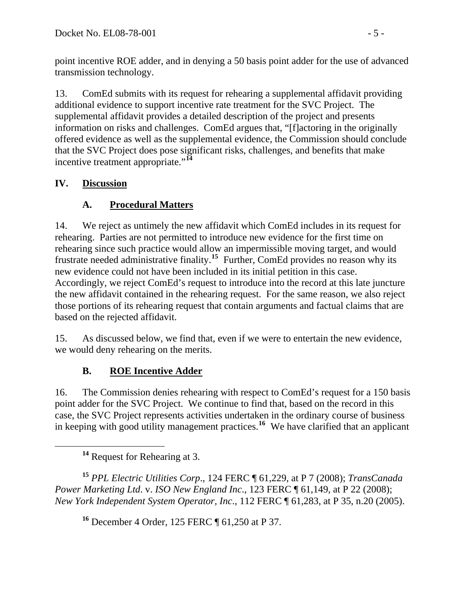point incentive ROE adder, and in denying a 50 basis point adder for the use of advanced transmission technology.

13. ComEd submits with its request for rehearing a supplemental affidavit providing additional evidence to support incentive rate treatment for the SVC Project. The supplemental affidavit provides a detailed description of the project and presents information on risks and challenges. ComEd argues that, "[f]actoring in the originally offered evidence as well as the supplemental evidence, the Commission should conclude that the SVC Project does pose significant risks, challenges, and benefits that make incentive treatment appropriate."**[14](#page-4-0)**

## **IV. Discussion**

# **A. Procedural Matters**

14. We reject as untimely the new affidavit which ComEd includes in its request for rehearing. Parties are not permitted to introduce new evidence for the first time on rehearing since such practice would allow an impermissible moving target, and would frustrate needed administrative finality.**[15](#page-4-1)** Further, ComEd provides no reason why its new evidence could not have been included in its initial petition in this case. Accordingly, we reject ComEd's request to introduce into the record at this late juncture the new affidavit contained in the rehearing request. For the same reason, we also reject those portions of its rehearing request that contain arguments and factual claims that are based on the rejected affidavit.

15. As discussed below, we find that, even if we were to entertain the new evidence, we would deny rehearing on the merits.

# **B. ROE Incentive Adder**

16. The Commission denies rehearing with respect to ComEd's request for a 150 basis point adder for the SVC Project. We continue to find that, based on the record in this case, the SVC Project represents activities undertaken in the ordinary course of business in keeping with good utility management practices.**[16](#page-4-2)** We have clarified that an applicant

<span id="page-4-2"></span><span id="page-4-1"></span><span id="page-4-0"></span>**<sup>15</sup>** *PPL Electric Utilities Corp*., 124 FERC ¶ 61,229, at P 7 (2008); *TransCanada Power Marketing Ltd*. v. *ISO New England Inc*., 123 FERC ¶ 61,149, at P 22 (2008); *New York Independent System Operator, Inc*., 112 FERC ¶ 61,283, at P 35, n.20 (2005).

**<sup>16</sup>** December 4 Order, 125 FERC ¶ 61,250 at P 37.

**<sup>14</sup>** Request for Rehearing at 3.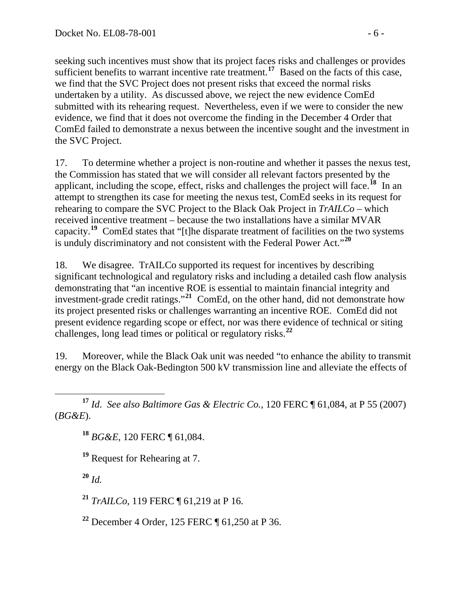seeking such incentives must show that its project faces risks and challenges or provides sufficient benefits to warrant incentive rate treatment.<sup>17</sup> Based on the facts of this case, we find that the SVC Project does not present risks that exceed the normal risks undertaken by a utility. As discussed above, we reject the new evidence ComEd submitted with its rehearing request. Nevertheless, even if we were to consider the new evidence, we find that it does not overcome the finding in the December 4 Order that ComEd failed to demonstrate a nexus between the incentive sought and the investment in the SVC Project.

17. To determine whether a project is non-routine and whether it passes the nexus test, the Commission has stated that we will consider all relevant factors presented by the applicant, including the scope, effect, risks and challenges the project will face.**[18](#page-5-0)** In an attempt to strengthen its case for meeting the nexus test, ComEd seeks in its request for rehearing to compare the SVC Project to the Black Oak Project in *TrAILCo* – which received incentive treatment – because the two installations have a similar MVAR capacity.**[19](#page-5-1)** ComEd states that "[t]he disparate treatment of facilities on the two systems is unduly discriminatory and not consistent with the Federal Power Act."**[20](#page-5-2)**

18. We disagree. TrAILCo supported its request for incentives by describing significant technological and regulatory risks and including a detailed cash flow analysis demonstrating that "an incentive ROE is essential to maintain financial integrity and investment-grade credit ratings."**[21](#page-5-3)** ComEd, on the other hand, did not demonstrate how its project presented risks or challenges warranting an incentive ROE. ComEd did not present evidence regarding scope or effect, nor was there evidence of technical or siting challenges, long lead times or political or regulatory risks.**[22](#page-5-4)**

19. Moreover, while the Black Oak unit was needed "to enhance the ability to transmit energy on the Black Oak-Bedington 500 kV transmission line and alleviate the effects of

<span id="page-5-1"></span><span id="page-5-0"></span> **<sup>17</sup>** *Id*. *See also Baltimore Gas & Electric Co.*, [120 FERC ¶ 61,084, at P 55](javascript:rDoDocLink() (2007) (*BG&E*).

**<sup>18</sup>** *BG&E*, 120 FERC ¶ 61,084.

**<sup>19</sup>** Request for Rehearing at 7.

<span id="page-5-2"></span>**<sup>20</sup>** *Id.*

<span id="page-5-3"></span>**<sup>21</sup>** *TrAILCo*, 119 FERC ¶ 61,219 at P 16.

<span id="page-5-4"></span>**<sup>22</sup>** December 4 Order, 125 FERC ¶ 61,250 at P 36.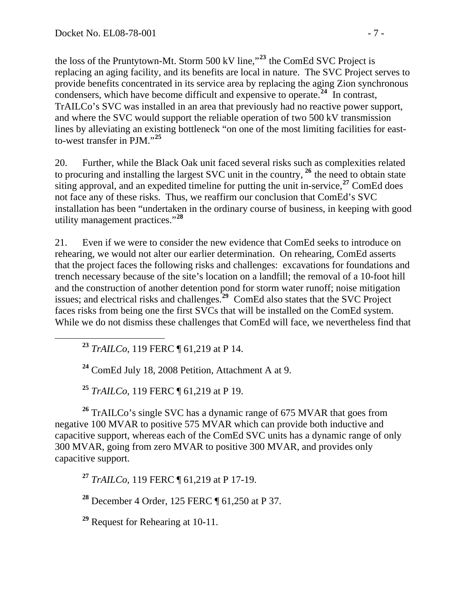the loss of the Pruntytown-Mt. Storm 500 kV line,"**<sup>23</sup>** the ComEd SVC Project is replacing an aging facility, and its benefits are local in nature. The SVC Project serves to provide benefits concentrated in its service area by replacing the aging Zion synchronous condensers, which have become difficult and expensive to operate.**<sup>24</sup>** In contrast, TrAILCo's SVC was installed in an area that previously had no reactive power support, and where the SVC would support the reliable operation of two 500 kV transmission lines by alleviating an existing bottleneck "on one of the most limiting facilities for eastto-west transfer in PJM."**<sup>25</sup>**

20. Further, while the Black Oak unit faced several risks such as complexities related to procuring and installing the largest SVC unit in the country, **[26](#page-6-0)** the need to obtain state siting approval, and an expedited timeline for putting the unit in-service,  $27$  ComEd does not face any of these risks. Thus, we reaffirm our conclusion that ComEd's SVC installation has been "undertaken in the ordinary course of business, in keeping with good utility management practices."**[28](#page-6-2)**

21. Even if we were to consider the new evidence that ComEd seeks to introduce on rehearing, we would not alter our earlier determination. On rehearing, ComEd asserts that the project faces the following risks and challenges: excavations for foundations and trench necessary because of the site's location on a landfill; the removal of a 10-foot hill and the construction of another detention pond for storm water runoff; noise mitigation issues; and electrical risks and challenges.**[29](#page-6-3)** ComEd also states that the SVC Project faces risks from being one the first SVCs that will be installed on the ComEd system. While we do not dismiss these challenges that ComEd will face, we nevertheless find that

**<sup>23</sup>** *TrAILCo*, 119 FERC ¶ 61,219 at P 14.

**<sup>24</sup>** ComEd July 18, 2008 Petition, Attachment A at 9.

**<sup>25</sup>** *TrAILCo*, 119 FERC ¶ 61,219 at P 19.

<span id="page-6-0"></span><sup>26</sup> TrAILCo's single SVC has a dynamic range of 675 MVAR that goes from negative 100 MVAR to positive 575 MVAR which can provide both inductive and capacitive support, whereas each of the ComEd SVC units has a dynamic range of only 300 MVAR, going from zero MVAR to positive 300 MVAR, and provides only capacitive support.

<span id="page-6-1"></span>**<sup>27</sup>** *TrAILCo*, 119 FERC ¶ 61,219 at P 17-19.

<span id="page-6-2"></span>**<sup>28</sup>** December 4 Order, 125 FERC ¶ 61,250 at P 37.

<span id="page-6-3"></span>**<sup>29</sup>** Request for Rehearing at 10-11.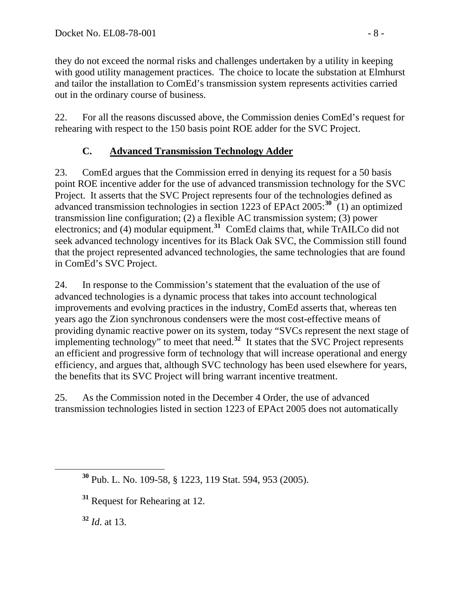they do not exceed the normal risks and challenges undertaken by a utility in keeping with good utility management practices. The choice to locate the substation at Elmhurst and tailor the installation to ComEd's transmission system represents activities carried out in the ordinary course of business.

22. For all the reasons discussed above, the Commission denies ComEd's request for rehearing with respect to the 150 basis point ROE adder for the SVC Project.

# **C. Advanced Transmission Technology Adder**

23. ComEd argues that the Commission erred in denying its request for a 50 basis point ROE incentive adder for the use of advanced transmission technology for the SVC Project. It asserts that the SVC Project represents four of the technologies defined as advanced transmission technologies in section 1223 of EPAct 2005:**[30](#page-7-0)** (1) an optimized transmission line configuration; (2) a flexible AC transmission system; (3) power electronics; and (4) modular equipment.**[31](#page-7-1)** ComEd claims that, while TrAILCo did not seek advanced technology incentives for its Black Oak SVC, the Commission still found that the project represented advanced technologies, the same technologies that are found in ComEd's SVC Project.

24. In response to the Commission's statement that the evaluation of the use of advanced technologies is a dynamic process that takes into account technological improvements and evolving practices in the industry, ComEd asserts that, whereas ten years ago the Zion synchronous condensers were the most cost-effective means of providing dynamic reactive power on its system, today "SVCs represent the next stage of implementing technology" to meet that need.**[32](#page-7-2)** It states that the SVC Project represents an efficient and progressive form of technology that will increase operational and energy efficiency, and argues that, although SVC technology has been used elsewhere for years, the benefits that its SVC Project will bring warrant incentive treatment.

25. As the Commission noted in the December 4 Order, the use of advanced transmission technologies listed in section 1223 of EPAct 2005 does not automatically

<span id="page-7-2"></span>**<sup>32</sup>** *Id*. at 13.

<span id="page-7-0"></span>**<sup>30</sup>** Pub. L. No. 109-58, § 1223, 119 Stat. 594, 953 (2005).

<span id="page-7-1"></span>**<sup>31</sup>** Request for Rehearing at 12.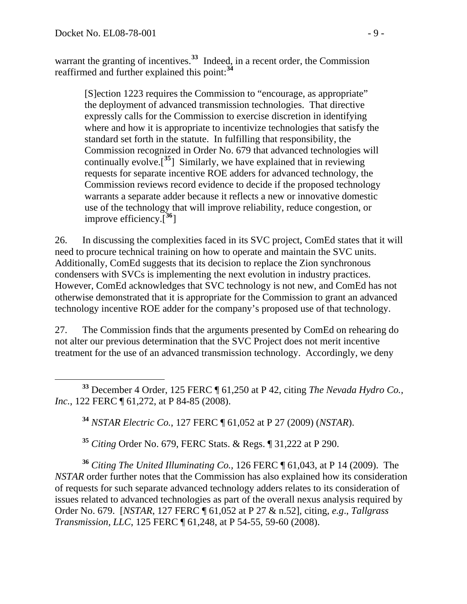warrant the granting of incentives.<sup>[33](#page-8-0)</sup> Indeed, in a recent order, the Commission reaffirmed and further explained this point:**[34](#page-8-1)**

[S]ection 1223 requires the Commission to "encourage, as appropriate" the deployment of advanced transmission technologies. That directive expressly calls for the Commission to exercise discretion in identifying where and how it is appropriate to incentivize technologies that satisfy the standard set forth in the statute. In fulfilling that responsibility, the Commission recognized in Order No. 679 that advanced technologies will continually evolve.<sup>[[35](#page-8-2)</sup>] Similarly, we have explained that in reviewing requests for separate incentive ROE adders for advanced technology, the Commission reviews record evidence to decide if the proposed technology warrants a separate adder because it reflects a new or innovative domestic use of the technology that will improve reliability, reduce congestion, or improve efficiency.[**[36](#page-8-3)**]

26. In discussing the complexities faced in its SVC project, ComEd states that it will need to procure technical training on how to operate and maintain the SVC units. Additionally, ComEd suggests that its decision to replace the Zion synchronous condensers with SVCs is implementing the next evolution in industry practices. However, ComEd acknowledges that SVC technology is not new, and ComEd has not otherwise demonstrated that it is appropriate for the Commission to grant an advanced technology incentive ROE adder for the company's proposed use of that technology.

27. The Commission finds that the arguments presented by ComEd on rehearing do not alter our previous determination that the SVC Project does not merit incentive treatment for the use of an advanced transmission technology. Accordingly, we deny

<span id="page-8-1"></span><span id="page-8-0"></span> **<sup>33</sup>** December 4 Order, 125 FERC ¶ 61,250 at P 42, citing *The Nevada Hydro Co., Inc.*, 122 FERC ¶ 61,272, at P 84-85 (2008).

**<sup>34</sup>** *NSTAR Electric Co.*, 127 FERC ¶ 61,052 at P 27 (2009) (*NSTAR*).

**<sup>35</sup>** *Citing* Order No. 679, FERC Stats. & Regs. ¶ 31,222 at P 290.

<span id="page-8-3"></span><span id="page-8-2"></span>**<sup>36</sup>** *Citing The United Illuminating Co.,* 126 FERC ¶ 61,043, at P 14 (2009). The *NSTAR* order further notes that the Commission has also explained how its consideration of requests for such separate advanced technology adders relates to its consideration of issues related to advanced technologies as part of the overall nexus analysis required by Order No. 679. [*NSTAR*, 127 FERC ¶ 61,052 at P 27 & n.52], citing*, e.g*., *Tallgrass Transmission, LLC*, 125 FERC ¶ 61,248, at P 54-55, 59-60 (2008).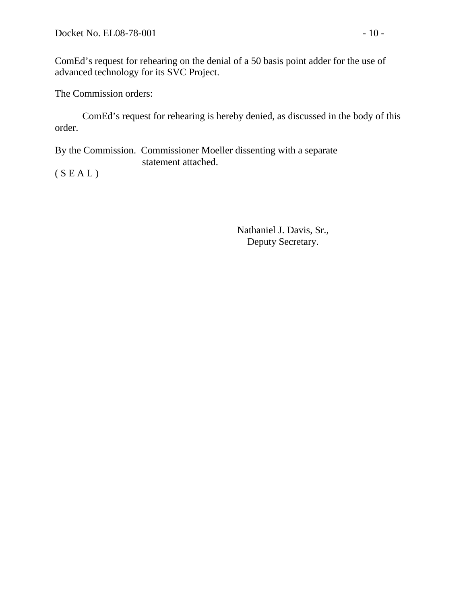ComEd's request for rehearing on the denial of a 50 basis point adder for the use of advanced technology for its SVC Project.

## The Commission orders:

 ComEd's request for rehearing is hereby denied, as discussed in the body of this order.

By the Commission. Commissioner Moeller dissenting with a separate statement attached.

 $(S E A L)$ 

Nathaniel J. Davis, Sr., Deputy Secretary.